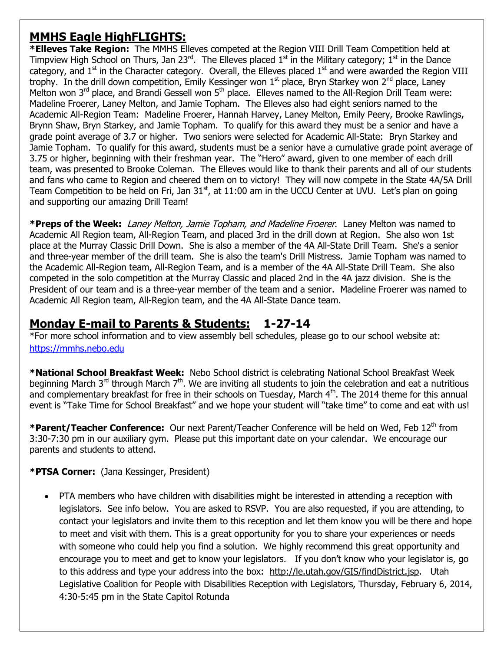## **MMHS Eagle HighFLIGHTS:**

**\*Elleves Take Region:** The MMHS Elleves competed at the Region VIII Drill Team Competition held at Timpview High School on Thurs, Jan 23<sup>rd</sup>. The Elleves placed 1<sup>st</sup> in the Military category; 1<sup>st</sup> in the Dance category, and  $1<sup>st</sup>$  in the Character category. Overall, the Elleves placed  $1<sup>st</sup>$  and were awarded the Region VIII trophy. In the drill down competition, Emily Kessinger won  $1<sup>st</sup>$  place, Bryn Starkey won  $2<sup>nd</sup>$  place, Laney Melton won  $3^{rd}$  place, and Brandi Gessell won  $5^{th}$  place. Elleves named to the All-Region Drill Team were: Madeline Froerer, Laney Melton, and Jamie Topham. The Elleves also had eight seniors named to the Academic All-Region Team: Madeline Froerer, Hannah Harvey, Laney Melton, Emily Peery, Brooke Rawlings, Brynn Shaw, Bryn Starkey, and Jamie Topham. To qualify for this award they must be a senior and have a grade point average of 3.7 or higher. Two seniors were selected for Academic All-State: Bryn Starkey and Jamie Topham. To qualify for this award, students must be a senior have a cumulative grade point average of 3.75 or higher, beginning with their freshman year. The "Hero" award, given to one member of each drill team, was presented to Brooke Coleman. The Elleves would like to thank their parents and all of our students and fans who came to Region and cheered them on to victory! They will now compete in the State 4A/5A Drill Team Competition to be held on Fri, Jan  $31<sup>st</sup>$ , at 11:00 am in the UCCU Center at UVU. Let's plan on going and supporting our amazing Drill Team!

**\*Preps of the Week:** Laney Melton, Jamie Topham, and Madeline Froerer. Laney Melton was named to Academic All Region team, All-Region Team, and placed 3rd in the drill down at Region. She also won 1st place at the Murray Classic Drill Down. She is also a member of the 4A All-State Drill Team. She's a senior and three-year member of the drill team. She is also the team's Drill Mistress. Jamie Topham was named to the Academic All-Region team, All-Region Team, and is a member of the 4A All-State Drill Team. She also competed in the solo competition at the Murray Classic and placed 2nd in the 4A jazz division. She is the President of our team and is a three-year member of the team and a senior. Madeline Froerer was named to Academic All Region team, All-Region team, and the 4A All-State Dance team.

## **Monday E-mail to Parents & Students: 1-27-14**

\*For more school information and to view assembly bell schedules, please go to our school website at: [https://mmhs.nebo.edu](https://mmhs.nebo.edu/)

**\*National School Breakfast Week:** Nebo School district is celebrating National School Breakfast Week beginning March  $3^{rd}$  through March  $7^{th}$ . We are inviting all students to join the celebration and eat a nutritious and complementary breakfast for free in their schools on Tuesday, March  $4<sup>th</sup>$ . The 2014 theme for this annual event is "Take Time for School Breakfast" and we hope your student will "take time" to come and eat with us!

\*Parent/Teacher Conference: Our next Parent/Teacher Conference will be held on Wed, Feb 12<sup>th</sup> from 3:30-7:30 pm in our auxiliary gym. Please put this important date on your calendar. We encourage our parents and students to attend.

## **\*PTSA Corner:** (Jana Kessinger, President)

 PTA members who have children with disabilities might be interested in attending a reception with legislators. See info below. You are asked to RSVP. You are also requested, if you are attending, to contact your legislators and invite them to this reception and let them know you will be there and hope to meet and visit with them. This is a great opportunity for you to share your experiences or needs with someone who could help you find a solution. We highly recommend this great opportunity and encourage you to meet and get to know your legislators. If you don't know who your legislator is, go to this address and type your address into the box: [http://le.utah.gov/GIS/findDistrict.jsp.](http://le.utah.gov/GIS/findDistrict.jsp) Utah Legislative Coalition for People with Disabilities Reception with Legislators, Thursday, February 6, 2014, 4:30-5:45 pm in the State Capitol Rotunda